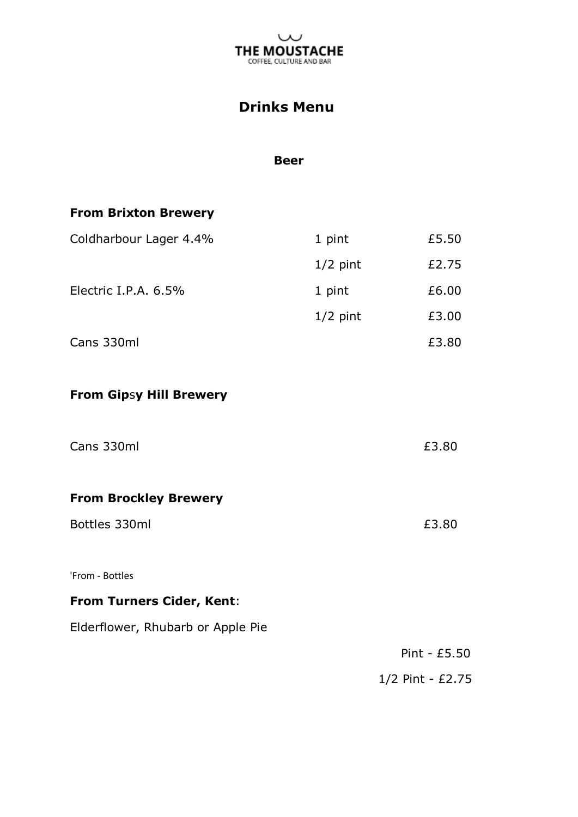

# **Drinks Menu**

#### **Beer**

### **From Brixton Brewery**

| 1 pint     | £5.50 |
|------------|-------|
| $1/2$ pint | £2.75 |
| 1 pint     | £6.00 |
| $1/2$ pint | £3.00 |
|            | £3.80 |
|            |       |

## **From Gip**s**y Hill Brewery**

| Cans 330ml                        | £3.80            |
|-----------------------------------|------------------|
| <b>From Brockley Brewery</b>      |                  |
| Bottles 330ml                     | £3.80            |
| 'From - Bottles                   |                  |
| <b>From Turners Cider, Kent:</b>  |                  |
| Elderflower, Rhubarb or Apple Pie |                  |
|                                   | Pint - $£5.50$   |
|                                   | 1/2 Pint - £2.75 |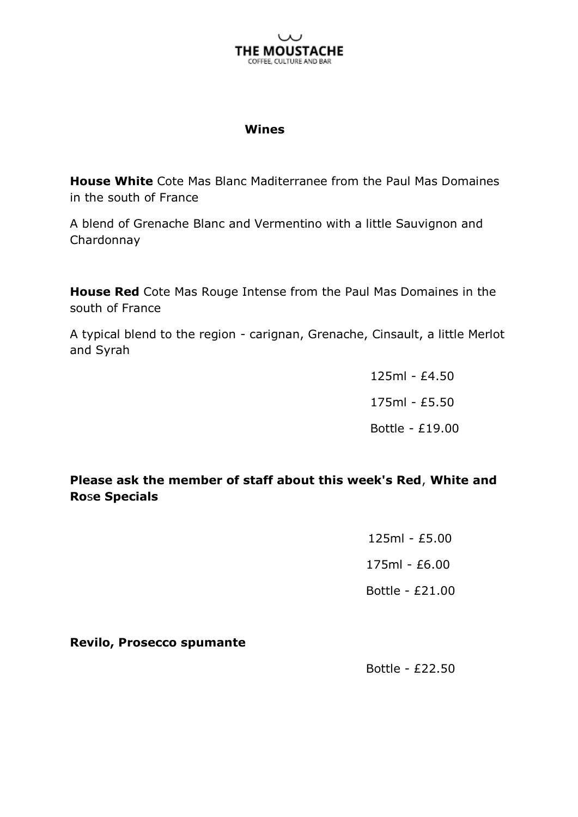

#### **Wines**

**House White** Cote Mas Blanc Maditerranee from the Paul Mas Domaines in the south of France

A blend of Grenache Blanc and Vermentino with a little Sauvignon and Chardonnay

**House Red** Cote Mas Rouge Intense from the Paul Mas Domaines in the south of France

A typical blend to the region - carignan, Grenache, Cinsault, a little Merlot and Syrah

> 125ml - £4.50 175ml - £5.50 Bottle - £19.00

**Please ask the member of staff about this week's Red**, **White and Ro**s**e Specials**

> 125ml - £5.00 175ml - £6.00 Bottle - £21.00

**Revilo, Prosecco spumante**

Bottle - £22.50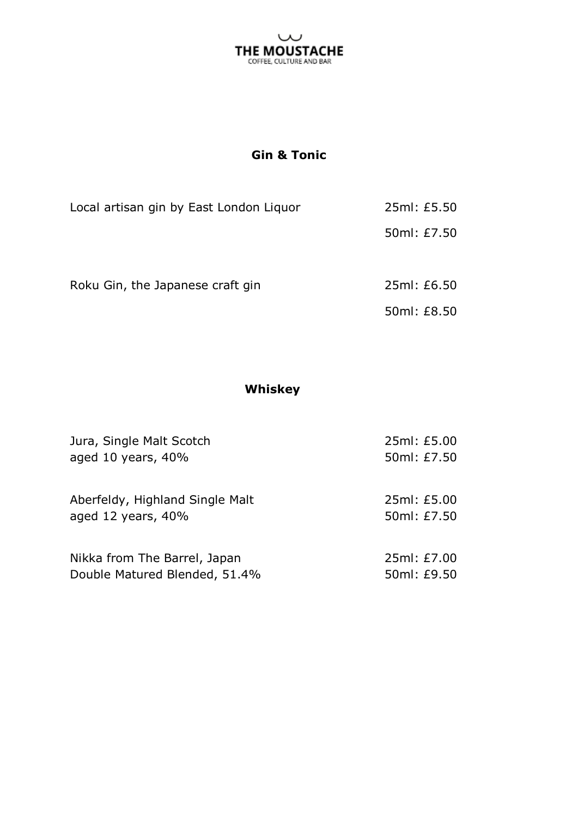

## **Gin & Tonic**

| Local artisan gin by East London Liquor | 25ml: £5.50 |
|-----------------------------------------|-------------|
|                                         | 50ml: £7.50 |
| Roku Gin, the Japanese craft gin        | 25ml: £6.50 |
|                                         | 50ml: £8.50 |

### **Whiskey**

| Jura, Single Malt Scotch                                 | 25ml: £5.00                |
|----------------------------------------------------------|----------------------------|
| aged 10 years, 40%                                       | 50ml: £7.50                |
| Aberfeldy, Highland Single Malt<br>aged 12 years, $40\%$ | 25ml: £5.00<br>50ml: £7.50 |
| Nikka from The Barrel, Japan                             | 25ml: £7.00                |
| Double Matured Blended, 51.4%                            | 50ml: £9.50                |